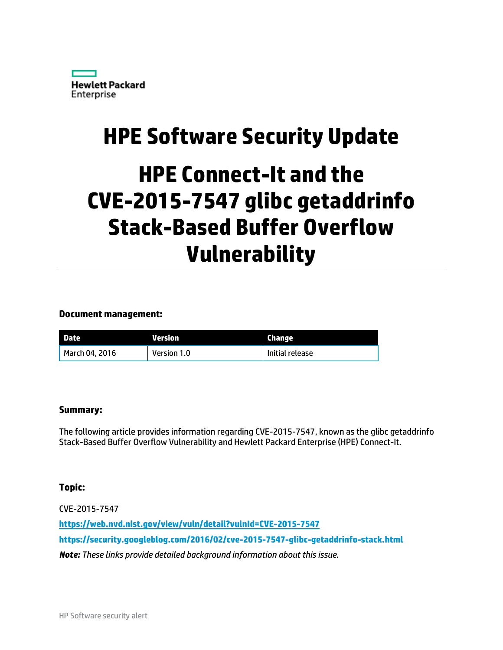

## **HPE Software Security Update**

# **HPE Connect-It and the CVE-2015-7547 glibc getaddrinfo Stack-Based Buffer Overflow Vulnerability**

#### **Document management:**

| <b>Date</b>    | Version     | Change          |
|----------------|-------------|-----------------|
| March 04, 2016 | Version 1.0 | Initial release |

#### **Summary:**

The following article provides information regarding CVE-2015-7547, known as the glibc getaddrinfo Stack-Based Buffer Overflow Vulnerability and Hewlett Packard Enterprise (HPE) Connect-It.

#### **Topic:**

CVE-2015-7547 **<https://web.nvd.nist.gov/view/vuln/detail?vulnId=CVE-2015-7547> <https://security.googleblog.com/2016/02/cve-2015-7547-glibc-getaddrinfo-stack.html>** *Note: These links provide detailed background information about this issue.*